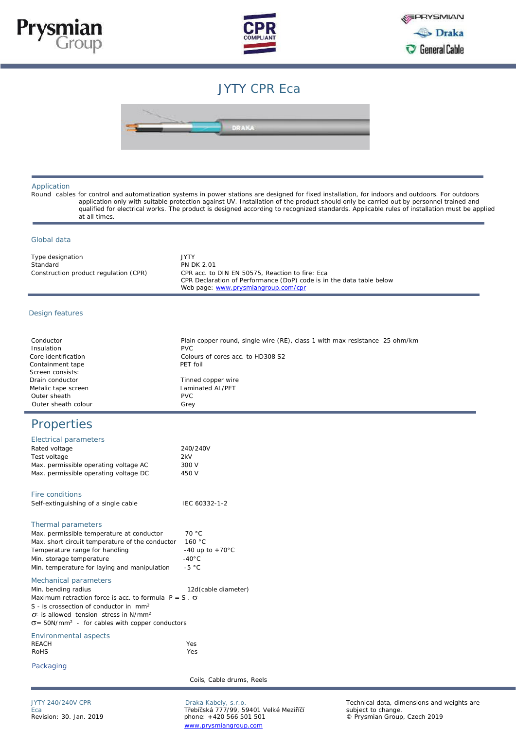



## JYTY CPR Eca



Application

 Round cables for control and automatization systems in power stations are designed for fixed installation, for indoors and outdoors. For outdoors application only with suitable protection against UV. Installation of the product should only be carried out by personnel trained and qualified for electrical works. The product is designed according to recognized standards. Applicable rules of installation must be applied at all times.

## Global data

| Type designation                      | <b>JYTY</b>                                                                                                             |
|---------------------------------------|-------------------------------------------------------------------------------------------------------------------------|
| Standard                              | <b>PN DK 2.01</b>                                                                                                       |
| Construction product regulation (CPR) | CPR acc. to DIN EN 50575. Reaction to fire: Eca<br>CPR Declaration of Performance (DoP) code is in the data table below |
|                                       | Web page: www.prysmiangroup.com/cpr                                                                                     |

## Design features

| Conductor           | Plain copper round, single wire (RE), class 1 with max resistance 25 ohm/km |
|---------------------|-----------------------------------------------------------------------------|
| Insulation          | <b>PVC</b>                                                                  |
| Core identification | Colours of cores acc. to HD308 S2                                           |
| Containment tape    | PFT foil                                                                    |
| Screen consists:    |                                                                             |
| Drain conductor     | Tinned copper wire                                                          |
| Metalic tape screen | Laminated AL/PFT                                                            |
| Outer sheath        | <b>PVC</b>                                                                  |
| Outer sheath colour | Grey                                                                        |

## Properties

| Electrical parameters                                              |                           |
|--------------------------------------------------------------------|---------------------------|
| Rated voltage                                                      | 240/240V                  |
| Test voltage                                                       | 2kV                       |
| Max. permissible operating voltage AC                              | 300 V                     |
| Max. permissible operating voltage DC                              | 450 V                     |
| Fire conditions                                                    |                           |
| Self-extinguishing of a single cable                               | IEC 60332-1-2             |
| Thermal parameters                                                 |                           |
| Max. permissible temperature at conductor                          | 70 °C                     |
| Max. short circuit temperature of the conductor                    | 160 °C                    |
| Temperature range for handling                                     | -40 up to $+70^{\circ}$ C |
| Min. storage temperature                                           | $-40\degree C$            |
| Min. temperature for laying and manipulation                       | $-5 °C$                   |
| Mechanical parameters                                              |                           |
| Min. bending radius                                                | 12d (cable diameter)      |
| Maximum retraction force is acc. to formula $P = S \cdot \sigma$   |                           |
| $S - i$ s crossection of conductor in $mm2$                        |                           |
| $\sigma$ - is allowed tension stress in N/mm <sup>2</sup>          |                           |
| $\sigma$ = 50N/mm <sup>2</sup> - for cables with copper conductors |                           |
| Environmental aspects                                              |                           |
| <b>RFACH</b>                                                       | Yes                       |
| <b>RoHS</b>                                                        | Yes                       |
| Packaging                                                          |                           |
|                                                                    | Coils, Cable drums, Reels |
|                                                                    |                           |

Eca Třebíčská 777/99, 59401 Velké Meziříčí<br>Eca Třebíčská 777/99, 59401 Velké Meziříčí<br>Revision: 30. Jan. 2019 Metal Subject to change. +420 566 501 501 www.prysmiangroup.com

JYTY 240/240V CPR **Draka Kabely, s.r.o.** Draka Kabely, s.r.o. Technical data, dimensions and weights are<br>Eca subject to change. Revision: 30. Jan. 2019 phone: +420 566 501 501 © Prysmian Group, Czech 2019